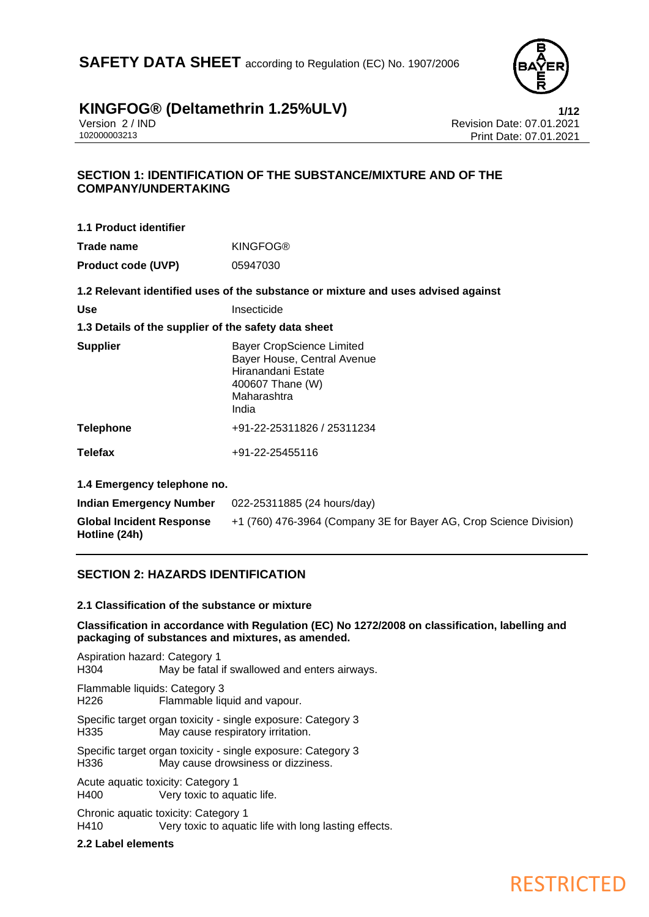**SAFETY DATA SHEET** according to Regulation (EC) No. 1907/2006



# **KINGFOG®** (Deltamethrin 1.25%ULV)<br>
Version 2/IND<br>
Revision Date: 07.01.2021

Version 2 / IND<br>102000003213<br>Print Date: 07.01.2021 Print Date: 07.01.2021

### **SECTION 1: IDENTIFICATION OF THE SUBSTANCE/MIXTURE AND OF THE COMPANY/UNDERTAKING**

| 1.1 Product identifier                               |                                                                                                           |
|------------------------------------------------------|-----------------------------------------------------------------------------------------------------------|
| Trade name                                           | <b>KINGFOG®</b>                                                                                           |
| <b>Product code (UVP)</b>                            | 05947030                                                                                                  |
|                                                      | 1.2 Relevant identified uses of the substance or mixture and uses advised against                         |
| Use                                                  | Insecticide                                                                                               |
| 1.3 Details of the supplier of the safety data sheet |                                                                                                           |
| <b>Supplier</b>                                      | <b>Bayer CropScience Limited</b><br>Bayer House, Central Avenue<br>Hiranandani Estate<br>400607 Thane (W) |

Maharashtra India **Telephone** +91-22-25311826 / 25311234

**Telefax** +91-22-25455116

**1.4 Emergency telephone no.**

| Indian Emergency Number                          | 022-25311885 (24 hours/day)                                        |
|--------------------------------------------------|--------------------------------------------------------------------|
| <b>Global Incident Response</b><br>Hotline (24h) | +1 (760) 476-3964 (Company 3E for Bayer AG, Crop Science Division) |

### **SECTION 2: HAZARDS IDENTIFICATION**

### **2.1 Classification of the substance or mixture**

**Classification in accordance with Regulation (EC) No 1272/2008 on classification, labelling and packaging of substances and mixtures, as amended.**

Aspiration hazard: Category 1 H304 May be fatal if swallowed and enters airways. Flammable liquids: Category 3 H226 Flammable liquid and vapour. Specific target organ toxicity - single exposure: Category 3 H335 May cause respiratory irritation.

Specific target organ toxicity - single exposure: Category 3 H336 May cause drowsiness or dizziness.

Acute aquatic toxicity: Category 1 H400 Very toxic to aquatic life.

Chronic aquatic toxicity: Category 1 H410 Very toxic to aquatic life with long lasting effects.

### **2.2 Label elements**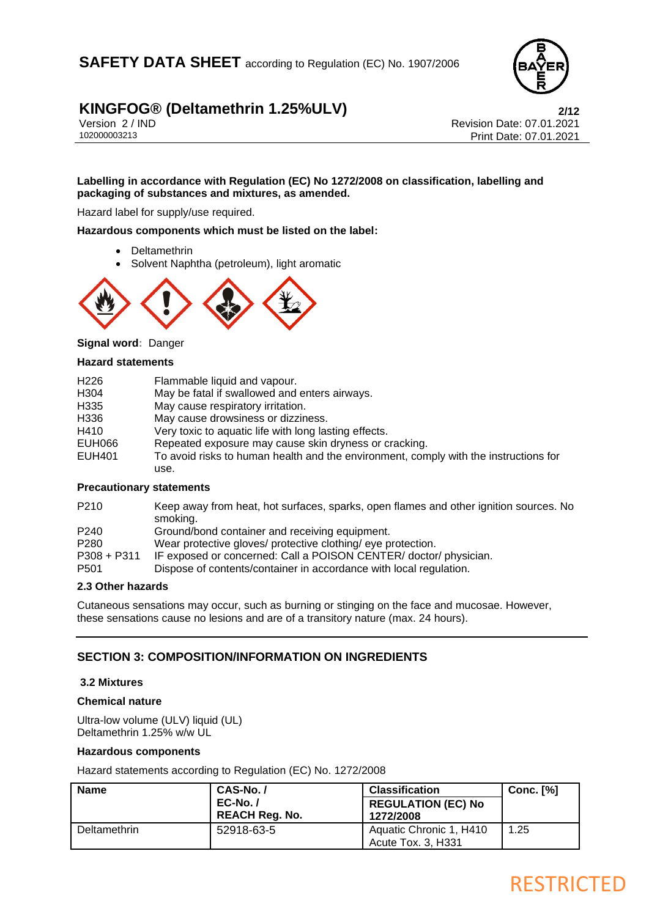

Version 2 / IND<br>102000003213<br>Print Date: 07.01.2021 Print Date: 07.01.2021

### **Labelling in accordance with Regulation (EC) No 1272/2008 on classification, labelling and packaging of substances and mixtures, as amended.**

Hazard label for supply/use required.

**Hazardous components which must be listed on the label:**

- **Deltamethrin**
- Solvent Naphtha (petroleum), light aromatic



**Signal word:** Danger

#### **Hazard statements**

| To avoid risks to human health and the environment, comply with the instructions for |
|--------------------------------------------------------------------------------------|
|                                                                                      |
|                                                                                      |

#### **Precautionary statements**

| P210                                             | Keep away from heat, hot surfaces, sparks, open flames and other ignition sources. No<br>smoking. |
|--------------------------------------------------|---------------------------------------------------------------------------------------------------|
| P240                                             | Ground/bond container and receiving equipment.                                                    |
| P280                                             | Wear protective gloves/ protective clothing/ eye protection.                                      |
| P308 + P311                                      | IF exposed or concerned: Call a POISON CENTER/ doctor/ physician.                                 |
| P501                                             | Dispose of contents/container in accordance with local regulation.                                |
| $\sim$ $\sim$ $\sim$ $\sim$ $\sim$ $\sim$ $\sim$ |                                                                                                   |

#### **2.3 Other hazards**

Cutaneous sensations may occur, such as burning or stinging on the face and mucosae. However, these sensations cause no lesions and are of a transitory nature (max. 24 hours).

### **SECTION 3: COMPOSITION/INFORMATION ON INGREDIENTS**

### **3.2 Mixtures**

### **Chemical nature**

Ultra-low volume (ULV) liquid (UL) Deltamethrin 1.25% w/w UL

#### **Hazardous components**

Hazard statements according to Regulation (EC) No. 1272/2008

| <b>Name</b>         | CAS-No./<br>$EC-No. /$<br><b>REACH Reg. No.</b> | <b>Classification</b><br><b>REGULATION (EC) No</b><br>1272/2008 | <b>Conc. [%]</b> |
|---------------------|-------------------------------------------------|-----------------------------------------------------------------|------------------|
| <b>Deltamethrin</b> | 52918-63-5                                      | Aquatic Chronic 1, H410<br>Acute Tox. 3, H331                   | 1.25             |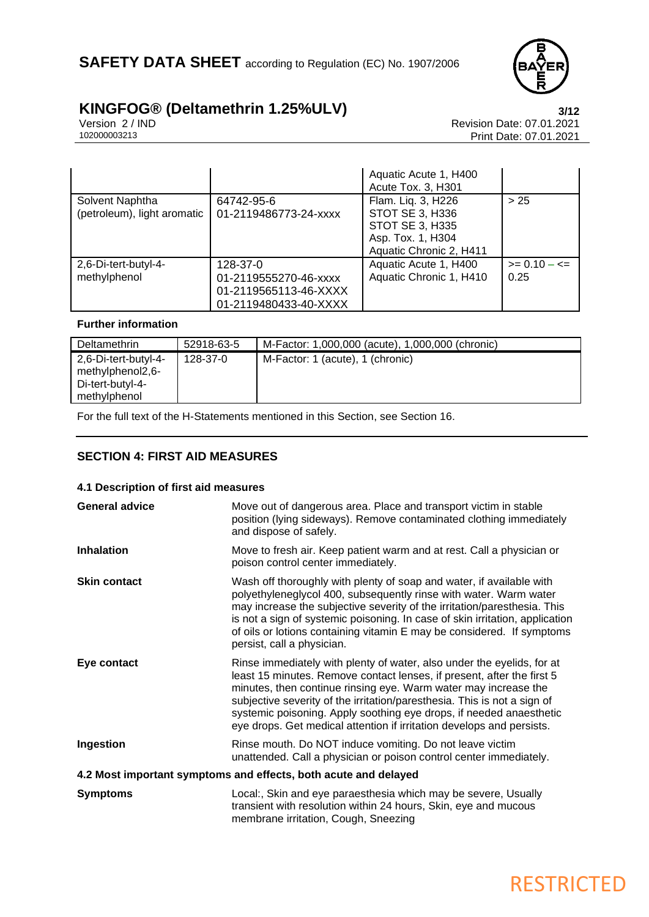

Version 2 / IND Revision Date: 07.01.2021 Print Date: 07.01.2021

|                                                |                                                                                     | Aquatic Acute 1, H400<br>Acute Tox. 3, H301                                                              |                       |
|------------------------------------------------|-------------------------------------------------------------------------------------|----------------------------------------------------------------------------------------------------------|-----------------------|
| Solvent Naphtha<br>(petroleum), light aromatic | 64742-95-6<br>01-2119486773-24-xxxx                                                 | Flam. Liq. 3, H226<br>STOT SE 3, H336<br>STOT SE 3, H335<br>Asp. Tox. 1, H304<br>Aquatic Chronic 2, H411 | > 25                  |
| 2,6-Di-tert-butyl-4-<br>methylphenol           | 128-37-0<br>01-2119555270-46-xxxx<br>01-2119565113-46-XXXX<br>01-2119480433-40-XXXX | Aquatic Acute 1, H400<br>Aquatic Chronic 1, H410                                                         | $>= 0.10 - 5$<br>0.25 |

### **Further information**

| <b>Deltamethrin</b>                                                          | 52918-63-5 | M-Factor: 1,000,000 (acute), 1,000,000 (chronic) |
|------------------------------------------------------------------------------|------------|--------------------------------------------------|
| 2,6-Di-tert-butyl-4-<br>methylphenol2,6-<br>Di-tert-butyl-4-<br>methylphenol | 128-37-0   | M-Factor: 1 (acute), 1 (chronic)                 |

For the full text of the H-Statements mentioned in this Section, see Section 16.

### **SECTION 4: FIRST AID MEASURES**

| 4.1 Description of first aid measures                           |                                                                                                                                                                                                                                                                                                                                                                                                                                                 |  |
|-----------------------------------------------------------------|-------------------------------------------------------------------------------------------------------------------------------------------------------------------------------------------------------------------------------------------------------------------------------------------------------------------------------------------------------------------------------------------------------------------------------------------------|--|
| <b>General advice</b>                                           | Move out of dangerous area. Place and transport victim in stable<br>position (lying sideways). Remove contaminated clothing immediately<br>and dispose of safely.                                                                                                                                                                                                                                                                               |  |
| <b>Inhalation</b>                                               | Move to fresh air. Keep patient warm and at rest. Call a physician or<br>poison control center immediately.                                                                                                                                                                                                                                                                                                                                     |  |
| <b>Skin contact</b>                                             | Wash off thoroughly with plenty of soap and water, if available with<br>polyethyleneglycol 400, subsequently rinse with water. Warm water<br>may increase the subjective severity of the irritation/paresthesia. This<br>is not a sign of systemic poisoning. In case of skin irritation, application<br>of oils or lotions containing vitamin E may be considered. If symptoms<br>persist, call a physician.                                   |  |
| Eye contact                                                     | Rinse immediately with plenty of water, also under the eyelids, for at<br>least 15 minutes. Remove contact lenses, if present, after the first 5<br>minutes, then continue rinsing eye. Warm water may increase the<br>subjective severity of the irritation/paresthesia. This is not a sign of<br>systemic poisoning. Apply soothing eye drops, if needed anaesthetic<br>eye drops. Get medical attention if irritation develops and persists. |  |
| Ingestion                                                       | Rinse mouth. Do NOT induce vomiting. Do not leave victim<br>unattended. Call a physician or poison control center immediately.                                                                                                                                                                                                                                                                                                                  |  |
| 4.2 Most important symptoms and effects, both acute and delayed |                                                                                                                                                                                                                                                                                                                                                                                                                                                 |  |
| <b>Symptoms</b>                                                 | Local:, Skin and eye paraesthesia which may be severe, Usually<br>transient with resolution within 24 hours, Skin, eye and mucous<br>membrane irritation, Cough, Sneezing                                                                                                                                                                                                                                                                       |  |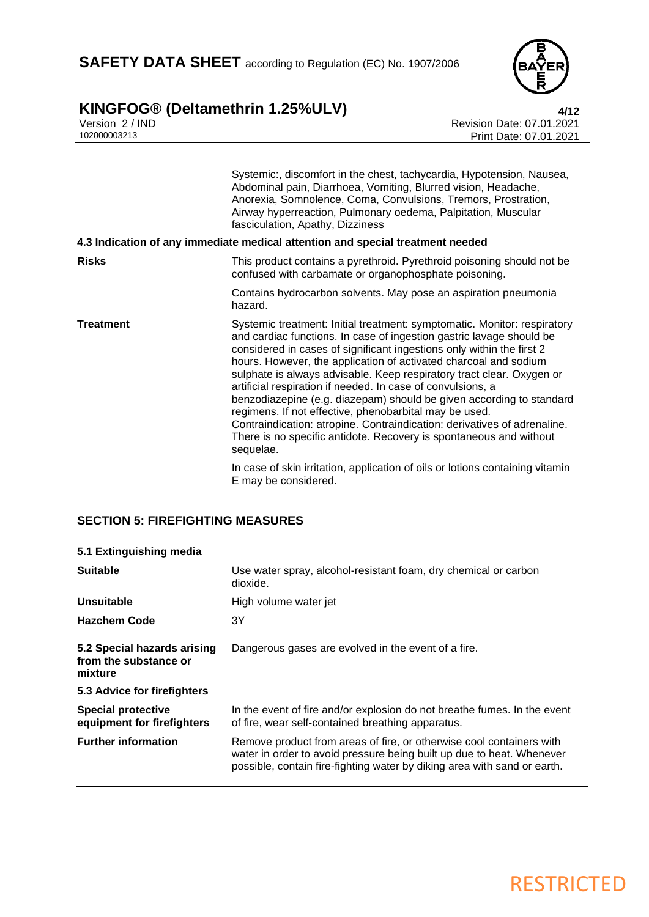

## **KINGFOG® (Deltamethrin 1.25%ULV) 4/12**

Version 2 / IND Revision Date: 07.01.2021 102000003213 Print Date: 07.01.2021

|                  | Systemic:, discomfort in the chest, tachycardia, Hypotension, Nausea,<br>Abdominal pain, Diarrhoea, Vomiting, Blurred vision, Headache,<br>Anorexia, Somnolence, Coma, Convulsions, Tremors, Prostration,<br>Airway hyperreaction, Pulmonary oedema, Palpitation, Muscular<br>fasciculation, Apathy, Dizziness                                                                                                                                                                                                                                                                                                                                                                                                                         |
|------------------|----------------------------------------------------------------------------------------------------------------------------------------------------------------------------------------------------------------------------------------------------------------------------------------------------------------------------------------------------------------------------------------------------------------------------------------------------------------------------------------------------------------------------------------------------------------------------------------------------------------------------------------------------------------------------------------------------------------------------------------|
|                  | 4.3 Indication of any immediate medical attention and special treatment needed                                                                                                                                                                                                                                                                                                                                                                                                                                                                                                                                                                                                                                                         |
| <b>Risks</b>     | This product contains a pyrethroid. Pyrethroid poisoning should not be<br>confused with carbamate or organophosphate poisoning.                                                                                                                                                                                                                                                                                                                                                                                                                                                                                                                                                                                                        |
|                  | Contains hydrocarbon solvents. May pose an aspiration pneumonia<br>hazard.                                                                                                                                                                                                                                                                                                                                                                                                                                                                                                                                                                                                                                                             |
| <b>Treatment</b> | Systemic treatment: Initial treatment: symptomatic. Monitor: respiratory<br>and cardiac functions. In case of ingestion gastric lavage should be<br>considered in cases of significant ingestions only within the first 2<br>hours. However, the application of activated charcoal and sodium<br>sulphate is always advisable. Keep respiratory tract clear. Oxygen or<br>artificial respiration if needed. In case of convulsions, a<br>benzodiazepine (e.g. diazepam) should be given according to standard<br>regimens. If not effective, phenobarbital may be used.<br>Contraindication: atropine. Contraindication: derivatives of adrenaline.<br>There is no specific antidote. Recovery is spontaneous and without<br>sequelae. |
|                  | In case of skin irritation, application of oils or lotions containing vitamin<br>E may be considered.                                                                                                                                                                                                                                                                                                                                                                                                                                                                                                                                                                                                                                  |

### **SECTION 5: FIREFIGHTING MEASURES**

| 5.1 Extinguishing media                                         |                                                                                                                                                                                                                           |
|-----------------------------------------------------------------|---------------------------------------------------------------------------------------------------------------------------------------------------------------------------------------------------------------------------|
| <b>Suitable</b>                                                 | Use water spray, alcohol-resistant foam, dry chemical or carbon<br>dioxide.                                                                                                                                               |
| Unsuitable                                                      | High volume water jet                                                                                                                                                                                                     |
| <b>Hazchem Code</b>                                             | 3Υ                                                                                                                                                                                                                        |
| 5.2 Special hazards arising<br>from the substance or<br>mixture | Dangerous gases are evolved in the event of a fire.                                                                                                                                                                       |
| 5.3 Advice for firefighters                                     |                                                                                                                                                                                                                           |
| <b>Special protective</b><br>equipment for firefighters         | In the event of fire and/or explosion do not breathe fumes. In the event<br>of fire, wear self-contained breathing apparatus.                                                                                             |
| <b>Further information</b>                                      | Remove product from areas of fire, or otherwise cool containers with<br>water in order to avoid pressure being built up due to heat. Whenever<br>possible, contain fire-fighting water by diking area with sand or earth. |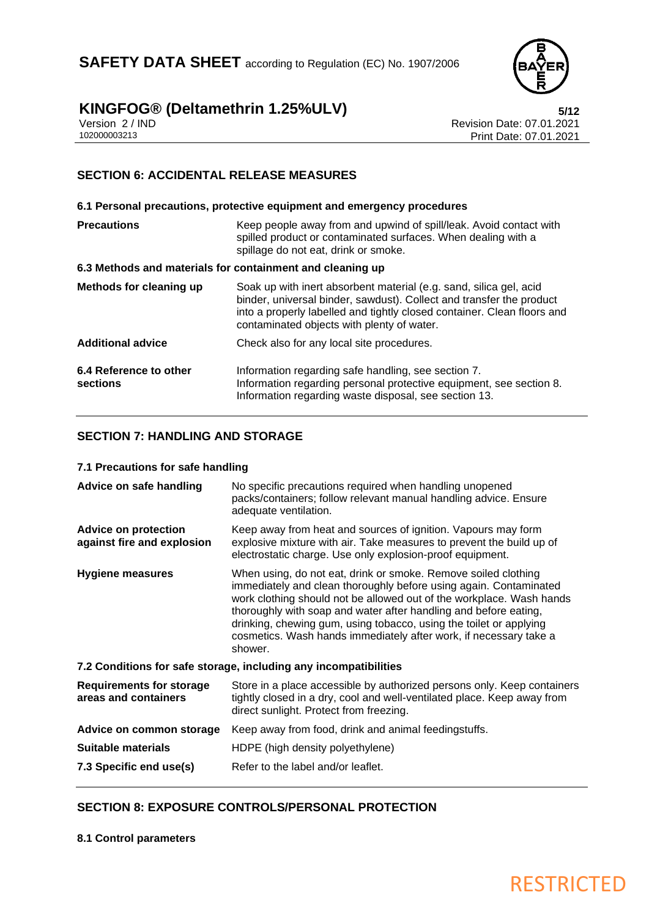

Version 2 / IND Revision Date: 07.01.2021 Print Date: 07.01.2021

### **SECTION 6: ACCIDENTAL RELEASE MEASURES**

| 6.1 Personal precautions, protective equipment and emergency procedures |                                                                                                                                                                                                                                                                     |  |
|-------------------------------------------------------------------------|---------------------------------------------------------------------------------------------------------------------------------------------------------------------------------------------------------------------------------------------------------------------|--|
| <b>Precautions</b>                                                      | Keep people away from and upwind of spill/leak. Avoid contact with<br>spilled product or contaminated surfaces. When dealing with a<br>spillage do not eat, drink or smoke.                                                                                         |  |
| 6.3 Methods and materials for containment and cleaning up               |                                                                                                                                                                                                                                                                     |  |
| Methods for cleaning up                                                 | Soak up with inert absorbent material (e.g. sand, silica gel, acid<br>binder, universal binder, sawdust). Collect and transfer the product<br>into a properly labelled and tightly closed container. Clean floors and<br>contaminated objects with plenty of water. |  |
| <b>Additional advice</b>                                                | Check also for any local site procedures.                                                                                                                                                                                                                           |  |
| 6.4 Reference to other<br>sections                                      | Information regarding safe handling, see section 7.<br>Information regarding personal protective equipment, see section 8.<br>Information regarding waste disposal, see section 13.                                                                                 |  |

### **SECTION 7: HANDLING AND STORAGE**

### **7.1 Precautions for safe handling**

| No specific precautions required when handling unopened<br>packs/containers; follow relevant manual handling advice. Ensure<br>adequate ventilation.                                                                                                                                                                                                                                                                                  |  |  |
|---------------------------------------------------------------------------------------------------------------------------------------------------------------------------------------------------------------------------------------------------------------------------------------------------------------------------------------------------------------------------------------------------------------------------------------|--|--|
| Keep away from heat and sources of ignition. Vapours may form<br>explosive mixture with air. Take measures to prevent the build up of<br>electrostatic charge. Use only explosion-proof equipment.                                                                                                                                                                                                                                    |  |  |
| When using, do not eat, drink or smoke. Remove soiled clothing<br>immediately and clean thoroughly before using again. Contaminated<br>work clothing should not be allowed out of the workplace. Wash hands<br>thoroughly with soap and water after handling and before eating,<br>drinking, chewing gum, using tobacco, using the toilet or applying<br>cosmetics. Wash hands immediately after work, if necessary take a<br>shower. |  |  |
| 7.2 Conditions for safe storage, including any incompatibilities                                                                                                                                                                                                                                                                                                                                                                      |  |  |
| Store in a place accessible by authorized persons only. Keep containers<br>tightly closed in a dry, cool and well-ventilated place. Keep away from<br>direct sunlight. Protect from freezing.                                                                                                                                                                                                                                         |  |  |
| Keep away from food, drink and animal feedingstuffs.                                                                                                                                                                                                                                                                                                                                                                                  |  |  |
| HDPE (high density polyethylene)                                                                                                                                                                                                                                                                                                                                                                                                      |  |  |
| Refer to the label and/or leaflet.                                                                                                                                                                                                                                                                                                                                                                                                    |  |  |
|                                                                                                                                                                                                                                                                                                                                                                                                                                       |  |  |

### **SECTION 8: EXPOSURE CONTROLS/PERSONAL PROTECTION**

**8.1 Control parameters**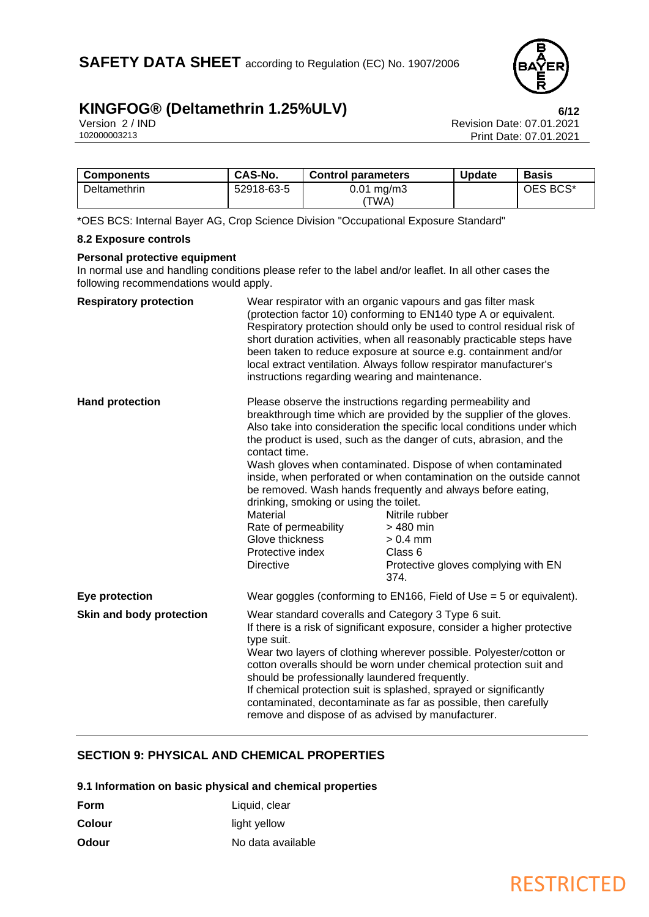

Version 2 / IND<br>102000003213<br>Print Date: 07.01.2021 Print Date: 07.01.2021

| <b>Components</b> | CAS-No.    | <b>Control parameters</b>       | <b>Update</b> | <b>Basis</b> |
|-------------------|------------|---------------------------------|---------------|--------------|
| Deltamethrin      | 52918-63-5 | $0.01 \,\mathrm{mq/m}$<br>'TWA) |               | OES BCS*     |

\*OES BCS: Internal Bayer AG, Crop Science Division "Occupational Exposure Standard"

#### **8.2 Exposure controls**

### **Personal protective equipment**

In normal use and handling conditions please refer to the label and/or leaflet. In all other cases the following recommendations would apply.

| <b>Respiratory protection</b> | instructions regarding wearing and maintenance.                                                                                                                                                                                                                                                                                                                                                                                                                                                                                        | Wear respirator with an organic vapours and gas filter mask<br>(protection factor 10) conforming to EN140 type A or equivalent.<br>Respiratory protection should only be used to control residual risk of<br>short duration activities, when all reasonably practicable steps have<br>been taken to reduce exposure at source e.g. containment and/or<br>local extract ventilation. Always follow respirator manufacturer's                                                                                                                                                                   |
|-------------------------------|----------------------------------------------------------------------------------------------------------------------------------------------------------------------------------------------------------------------------------------------------------------------------------------------------------------------------------------------------------------------------------------------------------------------------------------------------------------------------------------------------------------------------------------|-----------------------------------------------------------------------------------------------------------------------------------------------------------------------------------------------------------------------------------------------------------------------------------------------------------------------------------------------------------------------------------------------------------------------------------------------------------------------------------------------------------------------------------------------------------------------------------------------|
| <b>Hand protection</b>        | contact time.<br>drinking, smoking or using the toilet.<br>Material<br>Rate of permeability<br>Glove thickness<br>Protective index<br><b>Directive</b>                                                                                                                                                                                                                                                                                                                                                                                 | Please observe the instructions regarding permeability and<br>breakthrough time which are provided by the supplier of the gloves.<br>Also take into consideration the specific local conditions under which<br>the product is used, such as the danger of cuts, abrasion, and the<br>Wash gloves when contaminated. Dispose of when contaminated<br>inside, when perforated or when contamination on the outside cannot<br>be removed. Wash hands frequently and always before eating,<br>Nitrile rubber<br>> 480 min<br>$> 0.4$ mm<br>Class 6<br>Protective gloves complying with EN<br>374. |
| Eye protection                |                                                                                                                                                                                                                                                                                                                                                                                                                                                                                                                                        | Wear goggles (conforming to EN166, Field of Use = 5 or equivalent).                                                                                                                                                                                                                                                                                                                                                                                                                                                                                                                           |
| Skin and body protection      | Wear standard coveralls and Category 3 Type 6 suit.<br>If there is a risk of significant exposure, consider a higher protective<br>type suit.<br>Wear two layers of clothing wherever possible. Polyester/cotton or<br>cotton overalls should be worn under chemical protection suit and<br>should be professionally laundered frequently.<br>If chemical protection suit is splashed, sprayed or significantly<br>contaminated, decontaminate as far as possible, then carefully<br>remove and dispose of as advised by manufacturer. |                                                                                                                                                                                                                                                                                                                                                                                                                                                                                                                                                                                               |

### **SECTION 9: PHYSICAL AND CHEMICAL PROPERTIES**

**9.1 Information on basic physical and chemical properties**

| Form   | Liquid, clear     |
|--------|-------------------|
| Colour | light yellow      |
| Odour  | No data available |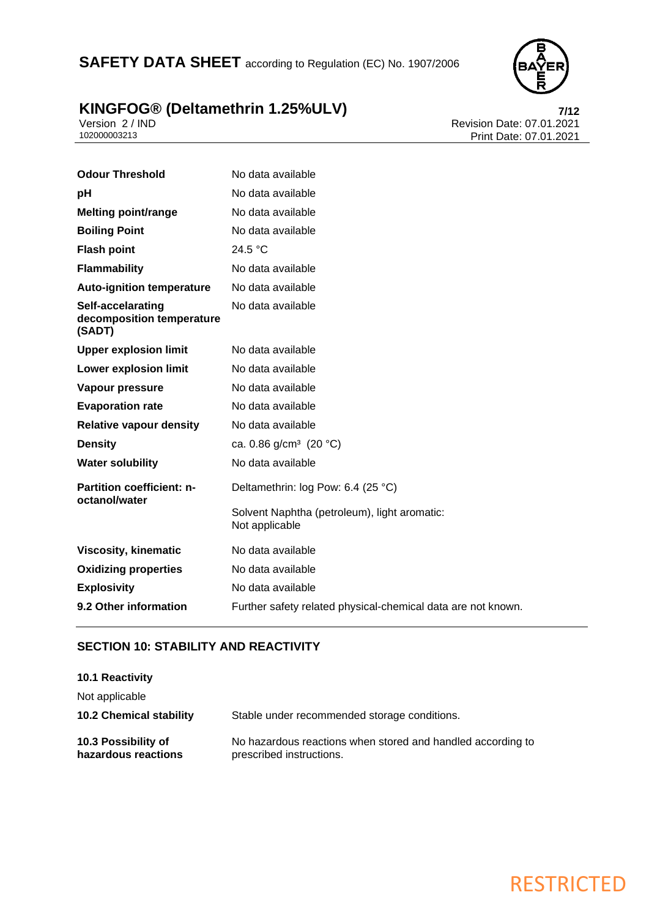## SAFETY DATA SHEET according to Regulation (EC) No. 1907/2006



## **KINGFOG® (Deltamethrin 1.25%ULV) 7/12**

Version 2 / IND Revision Date: 07.01.2021 102000003213 Print Date: 07.01.2021

| <b>Odour Threshold</b>                                   | No data available                                              |
|----------------------------------------------------------|----------------------------------------------------------------|
| рH                                                       | No data available                                              |
| <b>Melting point/range</b>                               | No data available                                              |
| <b>Boiling Point</b>                                     | No data available                                              |
| <b>Flash point</b>                                       | 24.5 °C                                                        |
| <b>Flammability</b>                                      | No data available                                              |
| <b>Auto-ignition temperature</b>                         | No data available                                              |
| Self-accelarating<br>decomposition temperature<br>(SADT) | No data available                                              |
| <b>Upper explosion limit</b>                             | No data available                                              |
| <b>Lower explosion limit</b>                             | No data available                                              |
| Vapour pressure                                          | No data available                                              |
| <b>Evaporation rate</b>                                  | No data available                                              |
| <b>Relative vapour density</b>                           | No data available                                              |
| <b>Density</b>                                           | ca. 0.86 $g/cm^3$ (20 °C)                                      |
| <b>Water solubility</b>                                  | No data available                                              |
| <b>Partition coefficient: n-</b><br>octanol/water        | Deltamethrin: log Pow: 6.4 (25 °C)                             |
|                                                          | Solvent Naphtha (petroleum), light aromatic:<br>Not applicable |
| <b>Viscosity, kinematic</b>                              | No data available                                              |
| <b>Oxidizing properties</b>                              | No data available                                              |
| <b>Explosivity</b>                                       | No data available                                              |
| 9.2 Other information                                    | Further safety related physical-chemical data are not known.   |

### **SECTION 10: STABILITY AND REACTIVITY**

| 10.1 Reactivity                            |                                                                                         |
|--------------------------------------------|-----------------------------------------------------------------------------------------|
| Not applicable                             |                                                                                         |
| <b>10.2 Chemical stability</b>             | Stable under recommended storage conditions.                                            |
| 10.3 Possibility of<br>hazardous reactions | No hazardous reactions when stored and handled according to<br>prescribed instructions. |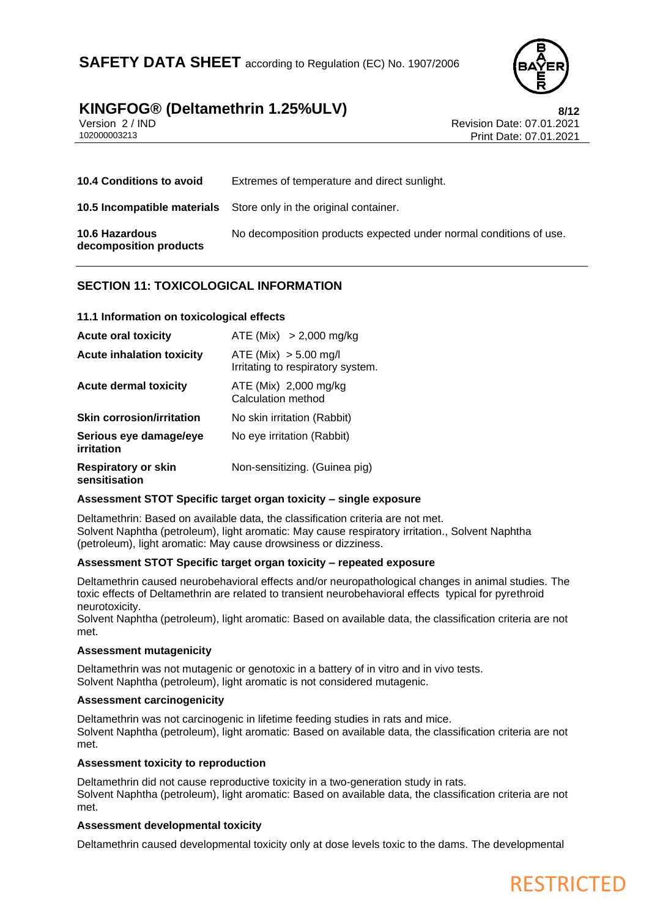

Version 2 / IND<br>102000003213<br>102000003213<br>Rrint Date: 07.01.2021 Print Date: 07.01.2021

| <b>10.4 Conditions to avoid</b>                 | Extremes of temperature and direct sunlight.                             |
|-------------------------------------------------|--------------------------------------------------------------------------|
|                                                 | <b>10.5 Incompatible materials</b> Store only in the original container. |
| <b>10.6 Hazardous</b><br>decomposition products | No decomposition products expected under normal conditions of use.       |

### **SECTION 11: TOXICOLOGICAL INFORMATION**

### **11.1 Information on toxicological effects**

| <b>Acute oral toxicity</b>                  | ATE (Mix) $> 2,000$ mg/kg                                    |
|---------------------------------------------|--------------------------------------------------------------|
| <b>Acute inhalation toxicity</b>            | ATE (Mix) $> 5.00$ mg/l<br>Irritating to respiratory system. |
| <b>Acute dermal toxicity</b>                | ATE (Mix) 2,000 mg/kg<br>Calculation method                  |
| <b>Skin corrosion/irritation</b>            | No skin irritation (Rabbit)                                  |
| Serious eye damage/eye<br>irritation        | No eye irritation (Rabbit)                                   |
| <b>Respiratory or skin</b><br>sensitisation | Non-sensitizing. (Guinea pig)                                |

### **Assessment STOT Specific target organ toxicity – single exposure**

Deltamethrin: Based on available data, the classification criteria are not met. Solvent Naphtha (petroleum), light aromatic: May cause respiratory irritation., Solvent Naphtha (petroleum), light aromatic: May cause drowsiness or dizziness.

### **Assessment STOT Specific target organ toxicity – repeated exposure**

Deltamethrin caused neurobehavioral effects and/or neuropathological changes in animal studies. The toxic effects of Deltamethrin are related to transient neurobehavioral effects typical for pyrethroid neurotoxicity.

Solvent Naphtha (petroleum), light aromatic: Based on available data, the classification criteria are not met.

### **Assessment mutagenicity**

Deltamethrin was not mutagenic or genotoxic in a battery of in vitro and in vivo tests. Solvent Naphtha (petroleum), light aromatic is not considered mutagenic.

### **Assessment carcinogenicity**

Deltamethrin was not carcinogenic in lifetime feeding studies in rats and mice. Solvent Naphtha (petroleum), light aromatic: Based on available data, the classification criteria are not met.

### **Assessment toxicity to reproduction**

Deltamethrin did not cause reproductive toxicity in a two-generation study in rats. Solvent Naphtha (petroleum), light aromatic: Based on available data, the classification criteria are not met.

### **Assessment developmental toxicity**

Deltamethrin caused developmental toxicity only at dose levels toxic to the dams. The developmental

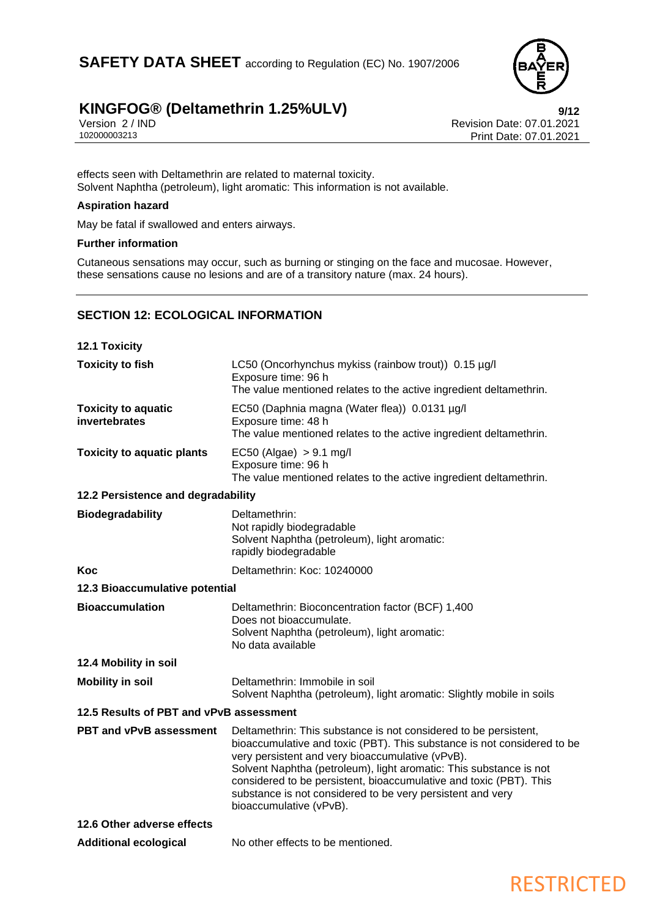

Version 2 / IND<br>102000003213<br>Print Date: 07.01.2021 Print Date: 07.01.2021

effects seen with Deltamethrin are related to maternal toxicity. Solvent Naphtha (petroleum), light aromatic: This information is not available.

### **Aspiration hazard**

May be fatal if swallowed and enters airways.

### **Further information**

Cutaneous sensations may occur, such as burning or stinging on the face and mucosae. However, these sensations cause no lesions and are of a transitory nature (max. 24 hours).

### **SECTION 12: ECOLOGICAL INFORMATION**

| <b>12.1 Toxicity</b>                        |                                                                                                                                                                                                                                                                                                                                                                                                                                      |
|---------------------------------------------|--------------------------------------------------------------------------------------------------------------------------------------------------------------------------------------------------------------------------------------------------------------------------------------------------------------------------------------------------------------------------------------------------------------------------------------|
| <b>Toxicity to fish</b>                     | LC50 (Oncorhynchus mykiss (rainbow trout)) 0.15 µg/l<br>Exposure time: 96 h<br>The value mentioned relates to the active ingredient deltamethrin.                                                                                                                                                                                                                                                                                    |
| <b>Toxicity to aquatic</b><br>invertebrates | EC50 (Daphnia magna (Water flea)) 0.0131 µg/l<br>Exposure time: 48 h<br>The value mentioned relates to the active ingredient deltamethrin.                                                                                                                                                                                                                                                                                           |
| <b>Toxicity to aquatic plants</b>           | $EC50$ (Algae) $> 9.1$ mg/l<br>Exposure time: 96 h<br>The value mentioned relates to the active ingredient deltamethrin.                                                                                                                                                                                                                                                                                                             |
| 12.2 Persistence and degradability          |                                                                                                                                                                                                                                                                                                                                                                                                                                      |
| <b>Biodegradability</b>                     | Deltamethrin:<br>Not rapidly biodegradable<br>Solvent Naphtha (petroleum), light aromatic:<br>rapidly biodegradable                                                                                                                                                                                                                                                                                                                  |
| Koc                                         | Deltamethrin: Koc: 10240000                                                                                                                                                                                                                                                                                                                                                                                                          |
| 12.3 Bioaccumulative potential              |                                                                                                                                                                                                                                                                                                                                                                                                                                      |
| <b>Bioaccumulation</b>                      | Deltamethrin: Bioconcentration factor (BCF) 1,400<br>Does not bioaccumulate.<br>Solvent Naphtha (petroleum), light aromatic:<br>No data available                                                                                                                                                                                                                                                                                    |
| 12.4 Mobility in soil                       |                                                                                                                                                                                                                                                                                                                                                                                                                                      |
| <b>Mobility in soil</b>                     | Deltamethrin: Immobile in soil<br>Solvent Naphtha (petroleum), light aromatic: Slightly mobile in soils                                                                                                                                                                                                                                                                                                                              |
| 12.5 Results of PBT and vPvB assessment     |                                                                                                                                                                                                                                                                                                                                                                                                                                      |
| <b>PBT and vPvB assessment</b>              | Deltamethrin: This substance is not considered to be persistent,<br>bioaccumulative and toxic (PBT). This substance is not considered to be<br>very persistent and very bioaccumulative (vPvB).<br>Solvent Naphtha (petroleum), light aromatic: This substance is not<br>considered to be persistent, bioaccumulative and toxic (PBT). This<br>substance is not considered to be very persistent and very<br>bioaccumulative (vPvB). |
| 12.6 Other adverse effects                  |                                                                                                                                                                                                                                                                                                                                                                                                                                      |
| <b>Additional ecological</b>                | No other effects to be mentioned.                                                                                                                                                                                                                                                                                                                                                                                                    |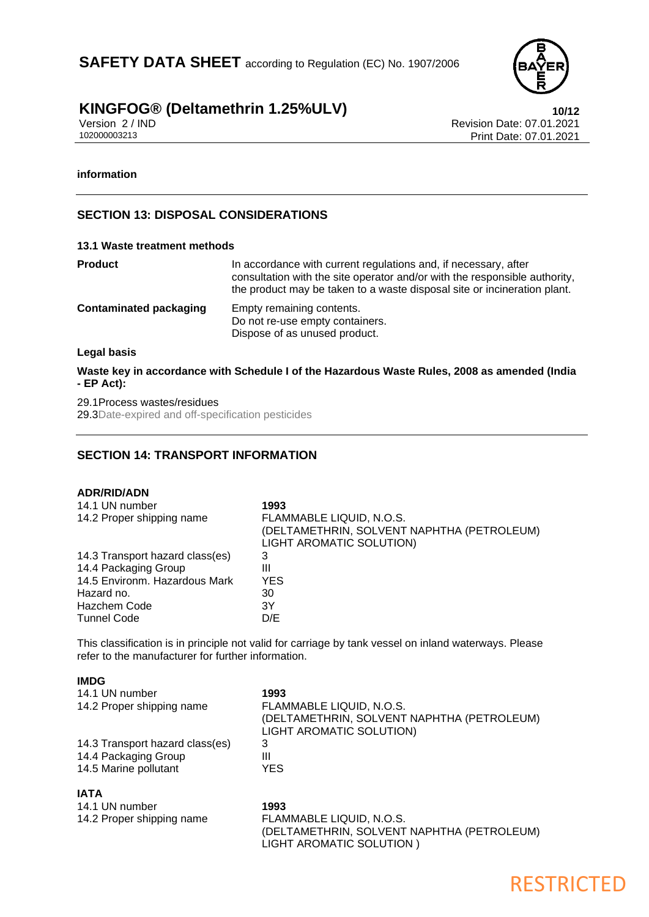

Version 2 / IND<br>102000003213<br>Print Date: 07.01.2021 Print Date: 07.01.2021

### **information**

### **SECTION 13: DISPOSAL CONSIDERATIONS**

#### **13.1 Waste treatment methods**

| Product                | In accordance with current regulations and, if necessary, after<br>consultation with the site operator and/or with the responsible authority,<br>the product may be taken to a waste disposal site or incineration plant. |
|------------------------|---------------------------------------------------------------------------------------------------------------------------------------------------------------------------------------------------------------------------|
| Contaminated packaging | Empty remaining contents.<br>Do not re-use empty containers.<br>Dispose of as unused product.                                                                                                                             |
| .  .                   |                                                                                                                                                                                                                           |

#### **Legal basis**

**Waste key in accordance with Schedule I of the Hazardous Waste Rules, 2008 as amended (India - EP Act):**

29.1Process wastes/residues 29.3Date-expired and off-specification pesticides

### **SECTION 14: TRANSPORT INFORMATION**

#### **ADR/RID/ADN**

**IMDG**

| 14.1 UN number<br>14.2 Proper shipping name | 1993<br>FLAMMABLE LIQUID, N.O.S.<br>(DELTAMETHRIN, SOLVENT NAPHTHA (PETROLEUM)<br>LIGHT AROMATIC SOLUTION) |
|---------------------------------------------|------------------------------------------------------------------------------------------------------------|
| 14.3 Transport hazard class(es)             | 3                                                                                                          |
| 14.4 Packaging Group                        | Ш                                                                                                          |
| 14.5 Environm. Hazardous Mark               | <b>YES</b>                                                                                                 |
| Hazard no.                                  | 30                                                                                                         |
| Hazchem Code                                | 3Y                                                                                                         |
| <b>Tunnel Code</b>                          | D/E                                                                                                        |

This classification is in principle not valid for carriage by tank vessel on inland waterways. Please refer to the manufacturer for further information.

| IMDG                            |                                                                                                    |
|---------------------------------|----------------------------------------------------------------------------------------------------|
| 14.1 UN number                  | 1993                                                                                               |
| 14.2 Proper shipping name       | FLAMMABLE LIQUID, N.O.S.<br>(DELTAMETHRIN, SOLVENT NAPHTHA (PETROLEUM)<br>LIGHT AROMATIC SOLUTION) |
| 14.3 Transport hazard class(es) | 3                                                                                                  |
| 14.4 Packaging Group            | Ш                                                                                                  |
| 14.5 Marine pollutant           | <b>YES</b>                                                                                         |
| <b>IATA</b>                     |                                                                                                    |
| 14.1 UN number                  | 1993                                                                                               |
| 14.2 Proper shipping name       | FLAMMABLE LIQUID, N.O.S.                                                                           |
|                                 | (DELTAMETHRIN, SOLVENT NAPHTHA (PETROLEUM)<br>LIGHT AROMATIC SOLUTION)                             |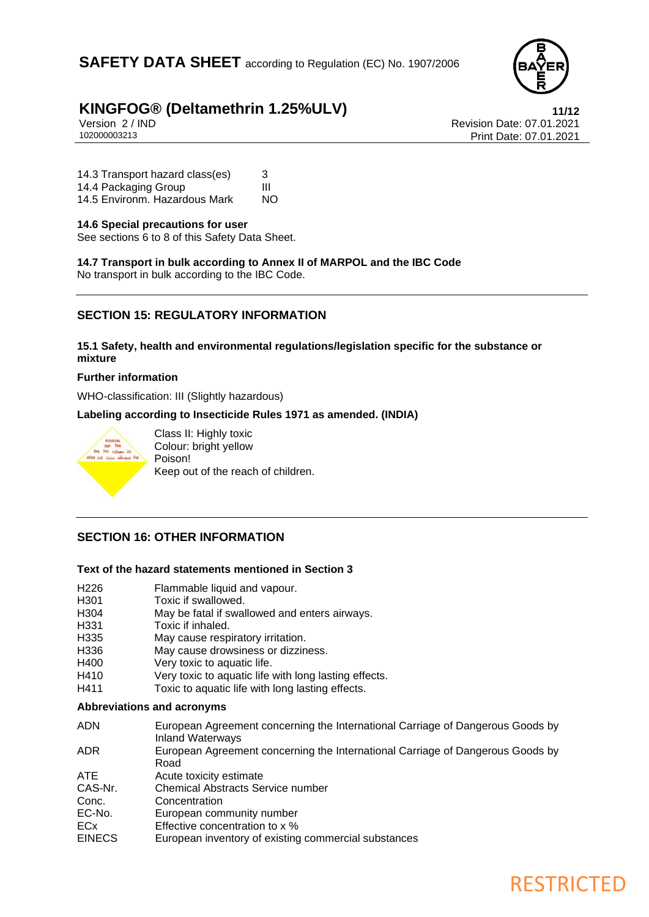

RESTRICTED

# **KINGFOG®** (Deltamethrin 1.25%ULV)<br>
Version 2/IND<br>
Revision Date: 07.01.2021

Version 2 / IND<br>102000003213<br>Print Date: 07.01.2021 Print Date: 07.01.2021

14.3 Transport hazard class(es) 3<br>14.4 Packaging Group 14.4 Packaging Group III<br>14.5 Environm, Hazardous Mark NO 14.5 Environm. Hazardous Mark

### **14.6 Special precautions for user**

See sections 6 to 8 of this Safety Data Sheet.

**14.7 Transport in bulk according to Annex II of MARPOL and the IBC Code** No transport in bulk according to the IBC Code.

### **SECTION 15: REGULATORY INFORMATION**

**15.1 Safety, health and environmental regulations/legislation specific for the substance or mixture**

### **Further information**

WHO-classification: III (Slightly hazardous)

**Labeling according to Insecticide Rules 1971 as amended. (INDIA)**



Class II: Highly toxic Colour: bright yellow Poison! Keep out of the reach of children.

### **SECTION 16: OTHER INFORMATION**

### **Text of the hazard statements mentioned in Section 3**

- H226 Flammable liquid and vapour.
- H301 Toxic if swallowed.<br>H304 May be fatal if swall
- May be fatal if swallowed and enters airways.
- H331 Toxic if inhaled.
- H335 May cause respiratory irritation.
- H336 May cause drowsiness or dizziness.
- H400 Very toxic to aquatic life.
- H410 Very toxic to aquatic life with long lasting effects.
- H411 Toxic to aquatic life with long lasting effects.

### **Abbreviations and acronyms**

| <b>ADN</b>    | European Agreement concerning the International Carriage of Dangerous Goods by<br><b>Inland Waterways</b> |
|---------------|-----------------------------------------------------------------------------------------------------------|
| ADR.          | European Agreement concerning the International Carriage of Dangerous Goods by<br>Road                    |
| ATE.          | Acute toxicity estimate                                                                                   |
| CAS-Nr.       | <b>Chemical Abstracts Service number</b>                                                                  |
| Conc.         | Concentration                                                                                             |
| EC-No.        | European community number                                                                                 |
| ECx           | Effective concentration to x %                                                                            |
| <b>EINECS</b> | European inventory of existing commercial substances                                                      |